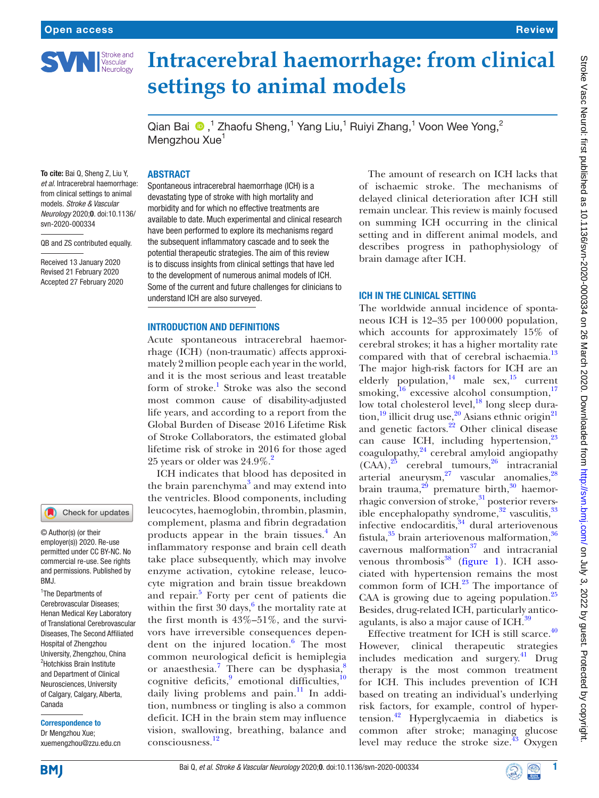

# **Intracerebral haemorrhage: from clinical settings to animal models**

Qian Bai  $\bigcirc$ ,<sup>1</sup> Zhaofu Sheng,<sup>1</sup> Yang Liu,<sup>1</sup> Ruiyi Zhang,<sup>1</sup> Voon Wee Yong,<sup>2</sup> Mengzhou Xue<sup>1</sup>

#### **ABSTRACT**

To cite: Bai Q, Sheng Z, Liu Y, *et al*. Intracerebral haemorrhage: from clinical settings to animal models. *Stroke & Vascular Neurology* 2020;0. doi:10.1136/ svn-2020-000334

QB and ZS contributed equally.

Received 13 January 2020 Revised 21 February 2020 Accepted 27 February 2020

# Introduction and definitions

understand ICH are also surveyed.

Spontaneous intracerebral haemorrhage (ICH) is a devastating type of stroke with high mortality and morbidity and for which no effective treatments are available to date. Much experimental and clinical research have been performed to explore its mechanisms regard the subsequent inflammatory cascade and to seek the potential therapeutic strategies. The aim of this review is to discuss insights from clinical settings that have led to the development of numerous animal models of ICH. Some of the current and future challenges for clinicians to

Acute spontaneous intracerebral haemorrhage (ICH) (non-traumatic) affects approximately 2million people each year in the world, and it is the most serious and least treatable form of stroke.<sup>[1](#page-4-0)</sup> Stroke was also the second most common cause of disability-adjusted life years, and according to a report from the Global Burden of Disease 2016 Lifetime Risk of Stroke Collaborators, the estimated global lifetime risk of stroke in 2016 for those aged 25 years or older was  $24.9\%$ .<sup>2</sup>

ICH indicates that blood has deposited in the brain parenchyma<sup>[3](#page-4-2)</sup> and may extend into the ventricles. Blood components, including leucocytes, haemoglobin, thrombin, plasmin, complement, plasma and fibrin degradation products appear in the brain tissues.<sup>[4](#page-4-3)</sup> An inflammatory response and brain cell death take place subsequently, which may involve enzyme activation, cytokine release, leucocyte migration and brain tissue breakdown and repair.<sup>[5](#page-4-4)</sup> Forty per cent of patients die within the first  $30 \text{ days}$ , the mortality rate at the first month is 43%–51%, and the survivors have irreversible consequences depen-dent on the injured location.<sup>[6](#page-4-5)</sup> The most common neurological deficit is hemiplegia or anaesthesia.<sup>[7](#page-4-6)</sup> There can be dysphasia,<sup>[8](#page-4-7)</sup> cognitive deficits, <sup>[9](#page-4-8)</sup> emotional difficulties,  $10$ daily living problems and pain. $\frac{11}{11}$  $\frac{11}{11}$  $\frac{11}{11}$  In addition, numbness or tingling is also a common deficit. ICH in the brain stem may influence vision, swallowing, breathing, balance and consciousness.[12](#page-5-2)

The amount of research on ICH lacks that of ischaemic stroke. The mechanisms of delayed clinical deterioration after ICH still remain unclear. This review is mainly focused on summing ICH occurring in the clinical setting and in different animal models, and describes progress in pathophysiology of brain damage after ICH.

Review

#### ICH in the clinical setting

The worldwide annual incidence of spontaneous ICH is 12–35 per 100000 population, which accounts for approximately 15% of cerebral strokes; it has a higher mortality rate compared with that of cerebral ischaemia.<sup>[13](#page-5-3)</sup> The major high-risk factors for ICH are an elderly population, $14$  male sex, $15$  current smoking, $^{16}$  excessive alcohol consumption, $^{17}$  $^{17}$  $^{17}$ low total cholesterol level, $\frac{1}{18}$  long sleep dura-tion,<sup>[19](#page-5-9)</sup> illicit drug use,<sup>20</sup> Asians ethnic origin<sup>[21](#page-5-11)</sup> and genetic factors.<sup>22</sup> Other clinical disease can cause ICH, including hypertension,<sup>[23](#page-5-13)</sup> coagulopathy, $^{24}$  $^{24}$  $^{24}$  cerebral amyloid angiopathy  $(CAA)$ ,  $25$  cerebral tumours,  $26$  intracranial arterial aneurysm, $27$  vascular anomalies, $28$ brain trauma, $2^9$  premature birth, $30$  haemorrhagic conversion of stroke,<sup>31</sup> posterior reversible encephalopathy syndrome, $32$  vasculitis, $33$ infective endocarditis,<sup>[34](#page-5-24)</sup> dural arteriovenous fistula, $35$  brain arteriovenous malformation, $36$ cavernous malformation $37$  and intracranial venous thrombosis $38$  ([figure](#page-1-0) 1). ICH associated with hypertension remains the most common form of ICH.<sup>[23](#page-5-13)</sup> The importance of CAA is growing due to ageing population.<sup>[25](#page-5-15)</sup> Besides, drug-related ICH, particularly anticoagulants, is also a major cause of ICH.<sup>39</sup>

Effective treatment for ICH is still scarce. $40$ However, clinical therapeutic strategies includes medication and surgery. $41$  Drug therapy is the most common treatment for ICH. This includes prevention of ICH based on treating an individual's underlying risk factors, for example, control of hypertension.[42](#page-5-32) Hyperglycaemia in diabetics is common after stroke; managing glucose level may reduce the stroke size. $43$  Oxygen

<sup>2</sup>Hotchkiss Brain Institute and Department of Clinical

1 The Departments of Cerebrovascular Diseases; Henan Medical Key Laboratory of Translational Cerebrovascular Diseases, The Second Affiliated Hospital of Zhengzhou University, Zhengzhou, China

BMJ.

© Author(s) (or their employer(s)) 2020. Re-use permitted under CC BY-NC. No commercial re-use. See rights and permissions. Published by

Check for updates

Neurosciences, University of Calgary, Calgary, Alberta, Canada

Correspondence to Dr Mengzhou Xue; xuemengzhou@zzu.edu.cn

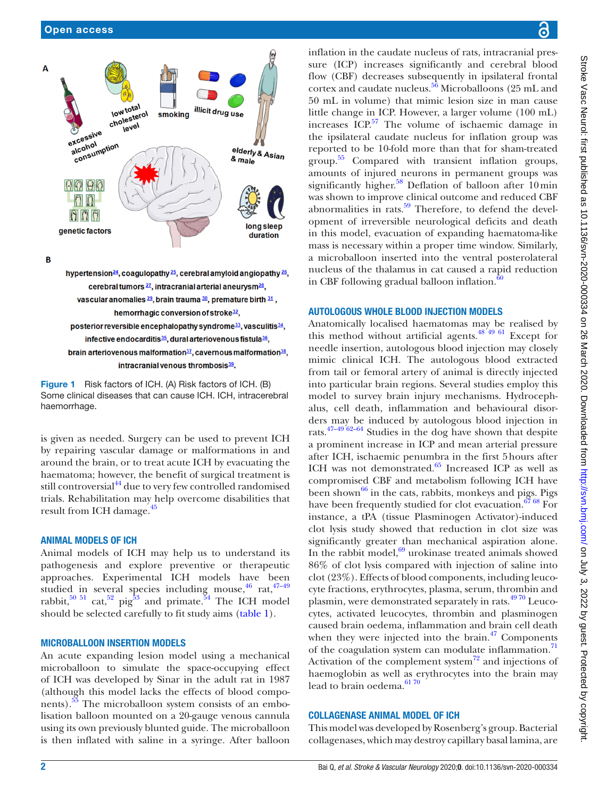

 $\overline{B}$ 

hypertension<sup>24</sup>, coagulopathy<sup>25</sup>, cerebral amyloid angiopathy<sup>26</sup>, cerebral tumors 27, intracranial arterial aneurysm<sup>28</sup> vascular anomalies 29, brain trauma 30, premature birth 31, hemorrhagic conversion of stroke<sup>32</sup>, posterior reversible encephalopathy syndrome<sup>33</sup>, vasculitis<sup>34</sup>, infective endocarditis<sup>35</sup>, dural arteriovenous fistula<sup>36</sup>, brain arteriovenous malformation<sup>37</sup>, cavernous malformation<sup>38</sup>, intracranial venous thrombosis $39$ 

<span id="page-1-0"></span>

is given as needed. Surgery can be used to prevent ICH by repairing vascular damage or malformations in and around the brain, or to treat acute ICH by evacuating the haematoma; however, the benefit of surgical treatment is still controversial<sup>44</sup> due to very few controlled randomised trials. Rehabilitation may help overcome disabilities that result from ICH damage.<sup>45</sup>

#### Animal models of ICH

Animal models of ICH may help us to understand its pathogenesis and explore preventive or therapeutic approaches. Experimental ICH models have been studied in several species including mouse,  $46$  rat,  $47-49$ rabbit,<sup>[50 51](#page-5-38)</sup> cat,<sup>52</sup> pig<sup>53</sup> and primate.<sup>54</sup> The ICH model should be selected carefully to fit study aims [\(table](#page-2-0) 1).

#### Microballoon insertion models

An acute expanding lesion model using a mechanical microballoon to simulate the space-occupying effect of ICH was developed by Sinar in the adult rat in 1987 (although this model lacks the effects of blood compo-nents).<sup>[55](#page-5-42)</sup> The microballoon system consists of an embolisation balloon mounted on a 20-gauge venous cannula using its own previously blunted guide. The microballoon is then inflated with saline in a syringe. After balloon

inflation in the caudate nucleus of rats, intracranial pressure (ICP) increases significantly and cerebral blood flow (CBF) decreases subsequently in ipsilateral frontal cortex and caudate nucleus. $56$  Microballoons (25 mL and 50 mL in volume) that mimic lesion size in man cause little change in ICP. However, a larger volume (100 mL) increases  $ICP<sup>57</sup>$  $ICP<sup>57</sup>$  $ICP<sup>57</sup>$ . The volume of ischaemic damage in the ipsilateral caudate nucleus for inflation group was reported to be 10-fold more than that for sham-treated group. [55](#page-5-42) Compared with transient inflation groups, amounts of injured neurons in permanent groups was significantly higher.<sup>58</sup> Deflation of balloon after 10 min was shown to improve clinical outcome and reduced CBF abnormalities in rats. $59$  Therefore, to defend the development of irreversible neurological deficits and death in this model, evacuation of expanding haematoma-like mass is necessary within a proper time window. Similarly, a microballoon inserted into the ventral posterolateral nucleus of the thalamus in cat caused a rapid reduction in CBF following gradual balloon inflation.<sup>6</sup>

#### Autologous whole blood injection models

Anatomically localised haematomas may be realised by this method without artificial agents.<sup>[48 49 61](#page-5-48)</sup> Except for needle insertion, autologous blood injection may closely mimic clinical ICH. The autologous blood extracted from tail or femoral artery of animal is directly injected into particular brain regions. Several studies employ this model to survey brain injury mechanisms. Hydrocephalus, cell death, inflammation and behavioural disorders may be induced by autologous blood injection in rats[.47–49 62–64](#page-5-37) Studies in the dog have shown that despite a prominent increase in ICP and mean arterial pressure after ICH, ischaemic penumbra in the first 5hours after ICH was not demonstrated.<sup>65</sup> Increased ICP as well as compromised CBF and metabolism following ICH have been shown $^{66}$  in the cats, rabbits, monkeys and pigs. Pigs have been frequently studied for clot evacuation.<sup>67 68</sup> For instance, a tPA (tissue Plasminogen Activator)-induced clot lysis study showed that reduction in clot size was significantly greater than mechanical aspiration alone. In the rabbit model, $69$  urokinase treated animals showed 86% of clot lysis compared with injection of saline into clot (23%). Effects of blood components, including leucocyte fractions, erythrocytes, plasma, serum, thrombin and plasmin, were demonstrated separately in rats[.49 70](#page-5-49) Leucocytes, activated leucocytes, thrombin and plasminogen caused brain oedema, inflammation and brain cell death when they were injected into the brain. $47$  Components of the coagulation system can modulate inflammation.<sup>[71](#page-6-4)</sup> Activation of the complement system $^{72}$  $^{72}$  $^{72}$  and injections of haemoglobin as well as erythrocytes into the brain may lead to brain oedema.<sup>6170</sup>

#### Collagenase animal model of ICH

This model was developed by Rosenberg's group. Bacterial collagenases, which may destroy capillary basal lamina, are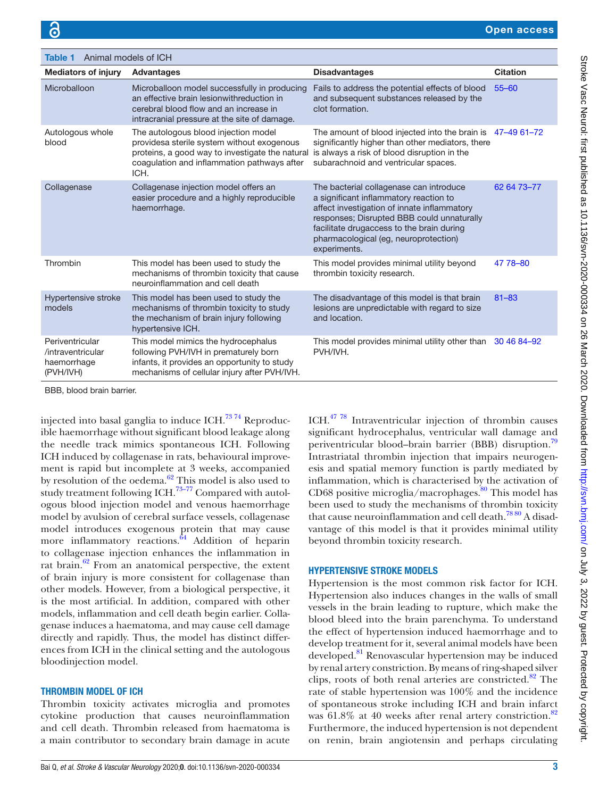<span id="page-2-0"></span>

| Animal models of ICH<br>Table 1                                  |                                                                                                                                                                                              |                                                                                                                                                                                                                                                                                      |                 |
|------------------------------------------------------------------|----------------------------------------------------------------------------------------------------------------------------------------------------------------------------------------------|--------------------------------------------------------------------------------------------------------------------------------------------------------------------------------------------------------------------------------------------------------------------------------------|-----------------|
| <b>Mediators of injury</b>                                       | <b>Advantages</b>                                                                                                                                                                            | <b>Disadvantages</b>                                                                                                                                                                                                                                                                 | <b>Citation</b> |
| Microballoon                                                     | Microballoon model successfully in producing<br>an effective brain lesionwithreduction in<br>cerebral blood flow and an increase in<br>intracranial pressure at the site of damage.          | Fails to address the potential effects of blood<br>and subsequent substances released by the<br>clot formation.                                                                                                                                                                      | $55 - 60$       |
| Autologous whole<br>blood                                        | The autologous blood injection model<br>providesa sterile system without exogenous<br>proteins, a good way to investigate the natural<br>coagulation and inflammation pathways after<br>ICH. | The amount of blood injected into the brain is $47-4961-72$<br>significantly higher than other mediators, there<br>is always a risk of blood disruption in the<br>subarachnoid and ventricular spaces.                                                                               |                 |
| Collagenase                                                      | Collagenase injection model offers an<br>easier procedure and a highly reproducible<br>haemorrhage.                                                                                          | The bacterial collagenase can introduce<br>a significant inflammatory reaction to<br>affect investigation of innate inflammatory<br>responses; Disrupted BBB could unnaturally<br>facilitate drugaccess to the brain during<br>pharmacological (eg, neuroprotection)<br>experiments. | 62 64 73 - 77   |
| Thrombin                                                         | This model has been used to study the<br>mechanisms of thrombin toxicity that cause<br>neuroinflammation and cell death                                                                      | This model provides minimal utility beyond<br>thrombin toxicity research.                                                                                                                                                                                                            | 47 78 - 80      |
| Hypertensive stroke<br>models                                    | This model has been used to study the<br>mechanisms of thrombin toxicity to study<br>the mechanism of brain injury following<br>hypertensive ICH.                                            | The disadvantage of this model is that brain<br>lesions are unpredictable with regard to size<br>and location.                                                                                                                                                                       | $81 - 83$       |
| Periventricular<br>/intraventricular<br>haemorrhage<br>(PVH/IVH) | This model mimics the hydrocephalus<br>following PVH/IVH in prematurely born<br>infants, it provides an opportunity to study<br>mechanisms of cellular injury after PVH/IVH.                 | This model provides minimal utility other than<br>PVH/IVH.                                                                                                                                                                                                                           | 30 46 84 - 92   |

BBB, blood brain barrier.

injected into basal ganglia to induce ICH.<sup>73</sup> 74 Reproducible haemorrhage without significant blood leakage along the needle track mimics spontaneous ICH. Following ICH induced by collagenase in rats, behavioural improvement is rapid but incomplete at 3 weeks, accompanied by resolution of the oedema. $62$  This model is also used to study treatment following ICH.<sup>73-77</sup> Compared with autologous blood injection model and venous haemorrhage model by avulsion of cerebral surface vessels, collagenase model introduces exogenous protein that may cause more inflammatory reactions.<sup>64</sup> Addition of heparin to collagenase injection enhances the inflammation in rat brain. $62$  From an anatomical perspective, the extent of brain injury is more consistent for collagenase than other models. However, from a biological perspective, it is the most artificial. In addition, compared with other models, inflammation and cell death begin earlier. Collagenase induces a haematoma, and may cause cell damage directly and rapidly. Thus, the model has distinct differences from ICH in the clinical setting and the autologous bloodinjection model.

#### Thrombin model of ICH

Thrombin toxicity activates microglia and promotes cytokine production that causes neuroinflammation and cell death. Thrombin released from haematoma is a main contributor to secondary brain damage in acute ICH[.47 78](#page-5-37) Intraventricular injection of thrombin causes significant hydrocephalus, ventricular wall damage and periventricular blood–brain barrier (BBB) disruption.<sup>[79](#page-6-9)</sup> Intrastriatal thrombin injection that impairs neurogenesis and spatial memory function is partly mediated by inflammation, which is characterised by the activation of CD68 positive microglia/macrophages. $\frac{80}{30}$  This model has been used to study the mechanisms of thrombin toxicity that cause neuroinflammation and cell death.<sup>78 80</sup> A disadvantage of this model is that it provides minimal utility beyond thrombin toxicity research.

# Hypertensive stroke models

Hypertension is the most common risk factor for ICH. Hypertension also induces changes in the walls of small vessels in the brain leading to rupture, which make the blood bleed into the brain parenchyma. To understand the effect of hypertension induced haemorrhage and to develop treatment for it, several animal models have been developed.<sup>81</sup> Renovascular hypertension may be induced by renal artery constriction. By means of ring-shaped silver clips, roots of both renal arteries are constricted. $82$  The rate of stable hypertension was 100% and the incidence of spontaneous stroke including ICH and brain infarct was  $61.8\%$  at 40 weeks after renal artery constriction.<sup>[82](#page-6-12)</sup> Furthermore, the induced hypertension is not dependent on renin, brain angiotensin and perhaps circulating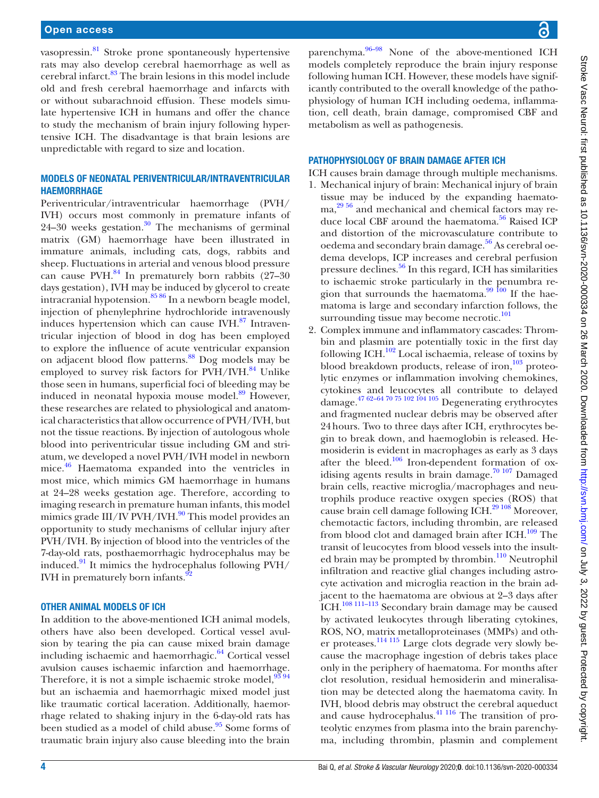# Open access

vasopressin[.81](#page-6-6) Stroke prone spontaneously hypertensive rats may also develop cerebral haemorrhage as well as cerebral infarct.<sup>83</sup> The brain lesions in this model include old and fresh cerebral haemorrhage and infarcts with or without subarachnoid effusion. These models simulate hypertensive ICH in humans and offer the chance to study the mechanism of brain injury following hypertensive ICH. The disadvantage is that brain lesions are unpredictable with regard to size and location.

### Models of neonatal periventricular/intraventricular **HAEMORRHAGE**

Periventricular/intraventricular haemorrhage (PVH/ IVH) occurs most commonly in premature infants of  $24-30$  weeks gestation.<sup>30</sup> The mechanisms of germinal matrix (GM) haemorrhage have been illustrated in immature animals, including cats, dogs, rabbits and sheep. Fluctuations in arterial and venous blood pressure can cause PVH. $^{84}$  In prematurely born rabbits (27–30) days gestation), IVH may be induced by glycerol to create intracranial hypotension. $85\frac{86}{1}$  In a newborn beagle model, injection of phenylephrine hydrochloride intravenously induces hypertension which can cause IVH.<sup>87</sup> Intraventricular injection of blood in dog has been employed to explore the influence of acute ventricular expansion on adjacent blood flow patterns[.88](#page-6-17) Dog models may be employed to survey risk factors for PVH/IVH.<sup>84</sup> Unlike those seen in humans, superficial foci of bleeding may be induced in neonatal hypoxia mouse model.<sup>89</sup> However, these researches are related to physiological and anatomical characteristics that allow occurrence of PVH/IVH, but not the tissue reactions. By injection of autologous whole blood into periventricular tissue including GM and striatum, we developed a novel PVH/IVH model in newborn mice[.46](#page-5-36) Haematoma expanded into the ventricles in most mice, which mimics GM haemorrhage in humans at 24–28 weeks gestation age. Therefore, according to imaging research in premature human infants, this model mimics grade  $III/IV$  PVH/IVH.<sup>90</sup> This model provides an opportunity to study mechanisms of cellular injury after PVH/IVH. By injection of blood into the ventricles of the 7-day-old rats, posthaemorrhagic hydrocephalus may be induced. $91$  It mimics the hydrocephalus following PVH/ IVH in prematurely born infants.<sup>9</sup>

#### Other animal models of ICH

In addition to the above-mentioned ICH animal models, others have also been developed. Cortical vessel avulsion by tearing the pia can cause mixed brain damage including ischaemic and haemorrhagic. $64$  Cortical vessel avulsion causes ischaemic infarction and haemorrhage. Therefore, it is not a simple ischaemic stroke model,  $\frac{93}{94}$ but an ischaemia and haemorrhagic mixed model just like traumatic cortical laceration. Additionally, haemorrhage related to shaking injury in the 6-day-old rats has been studied as a model of child abuse.<sup>95</sup> Some forms of traumatic brain injury also cause bleeding into the brain

parenchyma.<sup>96–98</sup> None of the above-mentioned ICH models completely reproduce the brain injury response following human ICH. However, these models have significantly contributed to the overall knowledge of the pathophysiology of human ICH including oedema, inflammation, cell death, brain damage, compromised CBF and metabolism as well as pathogenesis.

#### PATHOPHYSIOLOGY OF BRAIN DAMAGE AFTER ICH

ICH causes brain damage through multiple mechanisms.

- 1. Mechanical injury of brain: Mechanical injury of brain tissue may be induced by the expanding haematoma,[29 56](#page-5-19) and mechanical and chemical factors may reduce local CBF around the haematoma.<sup>56</sup> Raised ICP and distortion of the microvasculature contribute to oedema and secondary brain damage. $56$  As cerebral oedema develops, ICP increases and cerebral perfusion pressure declines.<sup>[56](#page-5-43)</sup> In this regard, ICH has similarities to ischaemic stroke particularly in the penumbra region that surrounds the haematoma.<sup>99 100</sup> If the haematoma is large and secondary infarction follows, the surrounding tissue may become necrotic.<sup>101</sup>
- 2. Complex immune and inflammatory cascades: Thrombin and plasmin are potentially toxic in the first day following ICH. $^{102}$  Local ischaemia, release of toxins by blood breakdown products, release of iron, $103$  proteolytic enzymes or inflammation involving chemokines, cytokines and leucocytes all contribute to delayed damage. $47\frac{62-64}{20\frac{75}{20}}\frac{102}{204}\frac{105}{105}$  Degenerating erythrocytes and fragmented nuclear debris may be observed after 24hours. Two to three days after ICH, erythrocytes begin to break down, and haemoglobin is released. Hemosiderin is evident in macrophages as early as 3 days after the bleed.<sup>[106](#page-6-29)</sup> Iron-dependent formation of oxidising agents results in brain damage.<sup>70 107</sup> Damaged brain cells, reactive microglia/macrophages and neutrophils produce reactive oxygen species (ROS) that cause brain cell damage following ICH.[29 108](#page-5-19) Moreover, chemotactic factors, including thrombin, are released from blood clot and damaged brain after ICH. $^{109}$  $^{109}$  $^{109}$  The transit of leucocytes from blood vessels into the insulted brain may be prompted by thrombin.<sup>110</sup> Neutrophil infiltration and reactive glial changes including astrocyte activation and microglia reaction in the brain adjacent to the haematoma are obvious at 2–3 days after ICH.<sup>108 111-113</sup> Secondary brain damage may be caused by activated leukocytes through liberating cytokines, ROS, NO, matrix metalloproteinases (MMPs) and other proteases.[114 115](#page-6-34) Large clots degrade very slowly because the macrophage ingestion of debris takes place only in the periphery of haematoma. For months after clot resolution, residual hemosiderin and mineralisation may be detected along the haematoma cavity. In IVH, blood debris may obstruct the cerebral aqueduct and cause hydrocephalus.<sup>[41 116](#page-5-31)</sup> The transition of proteolytic enzymes from plasma into the brain parenchyma, including thrombin, plasmin and complement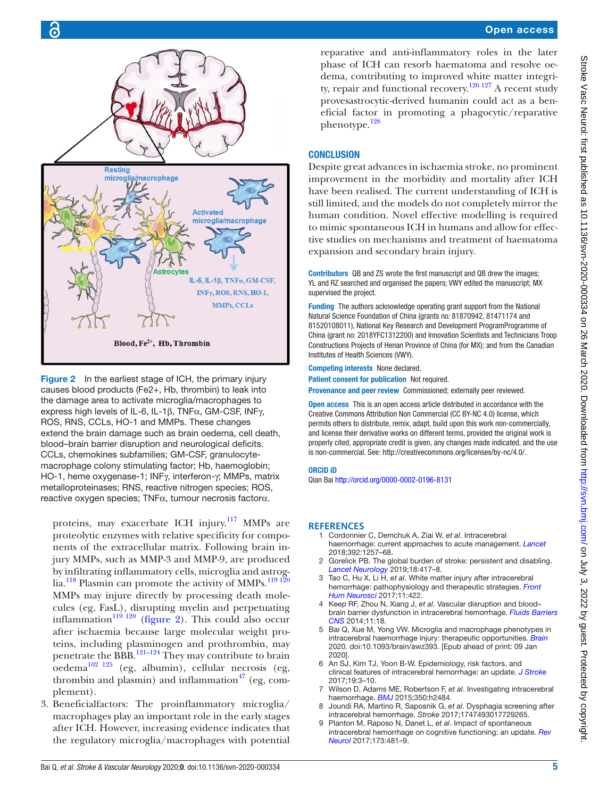

<span id="page-4-9"></span>Figure 2 In the earliest stage of ICH, the primary injury causes blood products (Fe2+, Hb, thrombin) to leak into the damage area to activate microglia/macrophages to express high levels of IL-6, IL-1β, TNFα, GM-CSF, INFγ, ROS, RNS, CCLs, HO-1 and MMPs. These changes extend the brain damage such as brain oedema, cell death, blood–brain barrier disruption and neurological deficits. CCLs, chemokines subfamilies; GM-CSF, granulocytemacrophage colony stimulating factor; Hb, haemoglobin; HO-1, heme oxygenase-1; INFγ, interferon-γ; MMPs, matrix metalloproteinases; RNS, reactive nitrogen species; ROS, reactive oxygen species; TNFα, tumour necrosis factorα.

proteins, may exacerbate ICH injury.<sup>117</sup> MMPs are proteolytic enzymes with relative specificity for components of the extracellular matrix. Following brain injury MMPs, such as MMP-3 and MMP-9, are produced by infiltrating inflammatory cells, microglia and astrog-lia.<sup>118</sup> Plasmin can promote the activity of MMPs.<sup>[119 120](#page-6-37)</sup> MMPs may injure directly by processing death molecules (eg, FasL), disrupting myelin and perpetuating inflammation $\frac{119}{120}$  ([figure](#page-4-9) 2). This could also occur after ischaemia because large molecular weight proteins, including plasminogen and prothrombin, may penetrate the BBB.<sup>[121–124](#page-6-38)</sup> They may contribute to brain  $oedema^{102}$  125 (eg, albumin), cellular necrosis (eg, thrombin and plasmin) and inflammation<sup>[47](#page-5-37)</sup> (eg, complement).

3. Beneficialfactors: The proinflammatory microglia/ macrophages play an important role in the early stages after ICH. However, increasing evidence indicates that the regulatory microglia/macrophages with potential

reparative and anti-inflammatory roles in the later phase of ICH can resorb haematoma and resolve oedema, contributing to improved white matter integrity, repair and functional recovery.<sup>126 127</sup> A recent study provesastrocytic-derived humanin could act as a beneficial factor in promoting a phagocytic/reparative phenotype.[128](#page-7-1)

# **CONCLUSION**

Despite great advances in ischaemia stroke, no prominent improvement in the morbidity and mortality after ICH have been realised. The current understanding of ICH is still limited, and the models do not completely mirror the human condition. Novel effective modelling is required to mimic spontaneous ICH in humans and allow for effective studies on mechanisms and treatment of haematoma expansion and secondary brain injury.

Contributors QB and ZS wrote the first manuscript and QB drew the images; YL and RZ searched and organised the papers; VWY edited the manuscript; MX supervised the project.

Funding The authors acknowledge operating grant support from the National Natural Science Foundation of China (grants no: 81870942, 81471174 and 81520108011), National Key Research and Development ProgramProgramme of China (grant no: 2018YFC1312200) and Innovation Scientists and Technicians Troop Constructions Projects of Henan Province of China (for MX); and from the Canadian Institutes of Health Sciences (VWY).

Competing interests None declared.

Patient consent for publication Not required.

Provenance and peer review Commissioned; externally peer reviewed.

**Open access** This is an open access article distributed in accordance with the Creative Commons Attribution Non Commercial (CC BY-NC 4.0) license, which permits others to distribute, remix, adapt, build upon this work non-commercially, and license their derivative works on different terms, provided the original work is properly cited, appropriate credit is given, any changes made indicated, and the use is non-commercial. See: [http://creativecommons.org/licenses/by-nc/4.0/.](http://creativecommons.org/licenses/by-nc/4.0/)

#### ORCID iD

Qian Bai<http://orcid.org/0000-0002-0196-8131>

#### <span id="page-4-0"></span>**References**

- 1 Cordonnier C, Demchuk A, Ziai W, *et al*. Intracerebral haemorrhage: current approaches to acute management. *[Lancet](http://dx.doi.org/10.1016/S0140-6736(18)31878-6)* 2018;392:1257–68.
- <span id="page-4-1"></span>Gorelick PB. The global burden of stroke: persistent and disabling. *[Lancet Neurology](http://dx.doi.org/10.1016/S1474-4422(19)30030-4)* 2019;18:417–8.
- <span id="page-4-2"></span>3 Tao C, Hu X, Li H, *et al*. White matter injury after intracerebral hemorrhage: pathophysiology and therapeutic strategies. *[Front](http://dx.doi.org/10.3389/fnhum.2017.00422)  [Hum Neurosci](http://dx.doi.org/10.3389/fnhum.2017.00422)* 2017;11:422.
- <span id="page-4-3"></span>4 Keep RF, Zhou N, Xiang J, *et al*. Vascular disruption and blood– brain barrier dysfunction in intracerebral hemorrhage. *[Fluids Barriers](http://dx.doi.org/10.1186/2045-8118-11-18)  [CNS](http://dx.doi.org/10.1186/2045-8118-11-18)* 2014;11:18.
- <span id="page-4-4"></span>5 Bai Q, Xue M, Yong VW. Microglia and macrophage phenotypes in intracerebral haemorrhage injury: therapeutic opportunities. *[Brain](http://dx.doi.org/10.1093/brain/awz393)* 2020. doi:10.1093/brain/awz393. [Epub ahead of print: 09 Jan 2020].
- <span id="page-4-5"></span>6 An SJ, Kim TJ, Yoon B-W. Epidemiology, risk factors, and clinical features of intracerebral hemorrhage: an update. *[J Stroke](http://dx.doi.org/10.5853/jos.2016.00864)* 2017;19:3–10.
- <span id="page-4-6"></span>7 Wilson D, Adams ME, Robertson F, *et al*. Investigating intracerebral haemorrhage. *[BMJ](http://dx.doi.org/10.1136/bmj.h2484)* 2015;350:h2484.
- <span id="page-4-7"></span>8 Joundi RA, Martino R, Saposnik G, *et al*. Dysphagia screening after intracerebral hemorrhage. *Stroke* 2017;1747493017729265.
- <span id="page-4-8"></span>9 Planton M, Raposo N, Danet L, *et al*. Impact of spontaneous intracerebral hemorrhage on cognitive functioning: an update. *[Rev](http://dx.doi.org/10.1016/j.neurol.2017.06.010)  [Neurol](http://dx.doi.org/10.1016/j.neurol.2017.06.010)* 2017;173:481–9.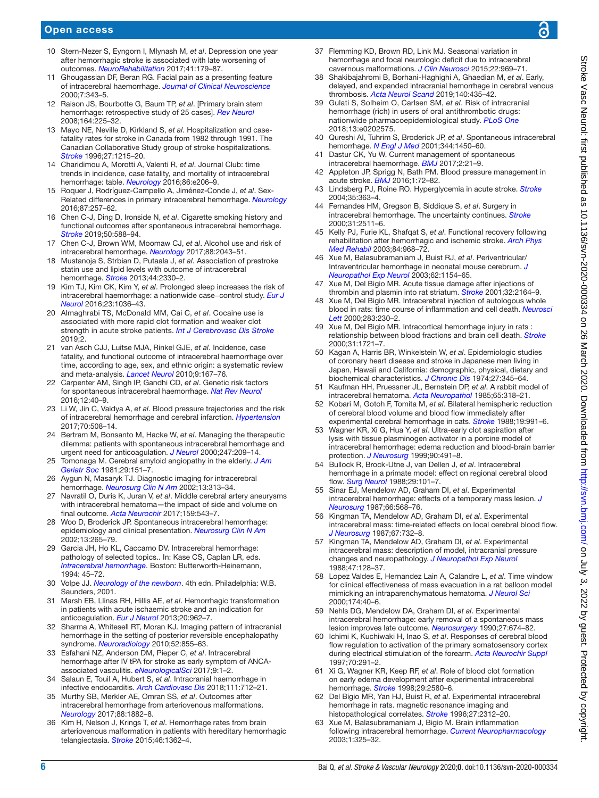# Open access

- <span id="page-5-0"></span>10 Stern-Nezer S, Eyngorn I, Mlynash M, *et al*. Depression one year after hemorrhagic stroke is associated with late worsening of outcomes. *[NeuroRehabilitation](http://dx.doi.org/10.3233/NRE-171470)* 2017;41:179–87.
- <span id="page-5-1"></span>11 Ghougassian DF, Beran RG. Facial pain as a presenting feature of intracerebral haemorrhage. *[Journal of Clinical Neuroscience](http://dx.doi.org/10.1054/jocn.1999.0236)* 2000;7:343–5.
- <span id="page-5-2"></span>12 Raison JS, Bourbotte G, Baum TP, *et al*. [Primary brain stem hemorrhage: retrospective study of 25 cases]. *[Rev Neurol](http://dx.doi.org/10.1016/j.neurol.2007.07.002)* 2008;164:225–32.
- <span id="page-5-3"></span>13 Mayo NE, Neville D, Kirkland S, *et al*. Hospitalization and casefatality rates for stroke in Canada from 1982 through 1991. The Canadian Collaborative Study group of stroke hospitalizations. *[Stroke](http://dx.doi.org/10.1161/01.str.27.7.1215)* 1996;27:1215–20.
- <span id="page-5-4"></span>14 Charidimou A, Morotti A, Valenti R, *et al*. Journal Club: time trends in incidence, case fatality, and mortality of intracerebral hemorrhage: table. *[Neurology](http://dx.doi.org/10.1212/WNL.0000000000002678)* 2016;86:e206–9.
- <span id="page-5-5"></span>15 Roquer J, Rodríguez-Campello A, Jiménez-Conde J, *et al*. Sex-Related differences in primary intracerebral hemorrhage. *[Neurology](http://dx.doi.org/10.1212/WNL.0000000000002792)* 2016;87:257–62.
- <span id="page-5-6"></span>16 Chen C-J, Ding D, Ironside N, *et al*. Cigarette smoking history and functional outcomes after spontaneous intracerebral hemorrhage. *[Stroke](http://dx.doi.org/10.1161/STROKEAHA.118.023580)* 2019;50:588–94.
- <span id="page-5-7"></span>17 Chen C-J, Brown WM, Moomaw CJ, *et al*. Alcohol use and risk of intracerebral hemorrhage. *[Neurology](http://dx.doi.org/10.1212/WNL.0000000000003952)* 2017;88:2043–51.
- <span id="page-5-8"></span>18 Mustanoja S, Strbian D, Putaala J, *et al*. Association of prestroke statin use and lipid levels with outcome of intracerebral hemorrhage. *[Stroke](http://dx.doi.org/10.1161/STROKEAHA.113.001829)* 2013;44:2330–2.
- <span id="page-5-9"></span>19 Kim TJ, Kim CK, Kim Y, *et al*. Prolonged sleep increases the risk of intracerebral haemorrhage: a nationwide case−control study. *[Eur J](http://dx.doi.org/10.1111/ene.12978)  [Neurol](http://dx.doi.org/10.1111/ene.12978)* 2016;23:1036–43.
- <span id="page-5-10"></span>20 Almaghrabi TS, McDonald MM, Cai C, *et al*. Cocaine use is associated with more rapid clot formation and weaker clot strength in acute stroke patients. *[Int J Cerebrovasc Dis Stroke](http://www.ncbi.nlm.nih.gov/pubmed/31681912)* 2019;2.
- <span id="page-5-11"></span>21 van Asch CJJ, Luitse MJA, Rinkel GJE, *et al*. Incidence, case fatality, and functional outcome of intracerebral haemorrhage over time, according to age, sex, and ethnic origin: a systematic review and meta-analysis. *[Lancet Neurol](http://dx.doi.org/10.1016/S1474-4422(09)70340-0)* 2010;9:167–76.
- <span id="page-5-12"></span>22 Carpenter AM, Singh IP, Gandhi CD, *et al*. Genetic risk factors for spontaneous intracerebral haemorrhage. *[Nat Rev Neurol](http://dx.doi.org/10.1038/nrneurol.2015.226)* 2016;12:40–9.
- <span id="page-5-13"></span>23 Li W, Jin C, Vaidya A, *et al*. Blood pressure trajectories and the risk of intracerebral hemorrhage and cerebral infarction. *[Hypertension](http://dx.doi.org/10.1161/HYPERTENSIONAHA.117.09479)* 2017;70:508–14.
- <span id="page-5-14"></span>24 Bertram M, Bonsanto M, Hacke W, *et al*. Managing the therapeutic dilemma: patients with spontaneous intracerebral hemorrhage and urgent need for anticoagulation. *[J Neurol](http://dx.doi.org/10.1007/s004150050565)* 2000;247:209–14.
- <span id="page-5-15"></span>25 Tomonaga M. Cerebral amyloid angiopathy in the elderly. *[J Am](http://dx.doi.org/10.1111/j.1532-5415.1981.tb01757.x)  [Geriatr Soc](http://dx.doi.org/10.1111/j.1532-5415.1981.tb01757.x)* 1981;29:151–7.
- <span id="page-5-16"></span>26 Aygun N, Masaryk TJ. Diagnostic imaging for intracerebral hemorrhage. *[Neurosurg Clin N Am](http://dx.doi.org/10.1016/S1042-3680(02)00009-8)* 2002;13:313–34.
- <span id="page-5-17"></span>27 Navratil O, Duris K, Juran V, *et al*. Middle cerebral artery aneurysms with intracerebral hematoma—the impact of side and volume on final outcome. *[Acta Neurochir](http://dx.doi.org/10.1007/s00701-016-3070-3)* 2017;159:543–7.
- <span id="page-5-18"></span>28 Woo D, Broderick JP. Spontaneous intracerebral hemorrhage: epidemiology and clinical presentation. *[Neurosurg Clin N Am](http://dx.doi.org/10.1016/S1042-3680(02)00011-6)* 2002;13:265–79.
- <span id="page-5-19"></span>29 Garcia JH, Ho KL, Caccamo DV. Intracerebral hemorrhage: pathology of selected topics.. In: Kase CS, Caplan LR, eds. *Intracerebral hemorrhage*. Boston: Butterworth-Heinemann, 1994: 45–72.
- <span id="page-5-20"></span>30 Volpe JJ. *Neurology of the newborn*. 4th edn. Philadelphia: W.B. Saunders, 2001.
- <span id="page-5-21"></span>31 Marsh EB, Llinas RH, Hillis AE, *et al*. Hemorrhagic transformation in patients with acute ischaemic stroke and an indication for anticoagulation. *[Eur J Neurol](http://dx.doi.org/10.1111/ene.12126)* 2013;20:962–7.
- <span id="page-5-22"></span>32 Sharma A, Whitesell RT, Moran KJ. Imaging pattern of intracranial hemorrhage in the setting of posterior reversible encephalopathy syndrome. *[Neuroradiology](http://dx.doi.org/10.1007/s00234-009-0632-6)* 2010;52:855–63.
- <span id="page-5-23"></span>33 Esfahani NZ, Anderson DM, Pieper C, *et al*. Intracerebral hemorrhage after IV tPA for stroke as early symptom of ANCAassociated vasculitis. *[eNeurologicalSci](http://dx.doi.org/10.1016/j.ensci.2017.08.004)* 2017;9:1–2.
- <span id="page-5-24"></span>34 Salaun E, Touil A, Hubert S, *et al*. Intracranial haemorrhage in infective endocarditis. *[Arch Cardiovasc Dis](http://dx.doi.org/10.1016/j.acvd.2018.03.009)* 2018;111:712–21.
- <span id="page-5-25"></span>35 Murthy SB, Merkler AE, Omran SS, *et al*. Outcomes after intracerebral hemorrhage from arteriovenous malformations. *[Neurology](http://dx.doi.org/10.1212/WNL.0000000000003935)* 2017;88:1882–8.
- <span id="page-5-26"></span>36 Kim H, Nelson J, Krings T, *et al*. Hemorrhage rates from brain arteriovenous malformation in patients with hereditary hemorrhagic telangiectasia. *[Stroke](http://dx.doi.org/10.1161/STROKEAHA.114.007367)* 2015;46:1362–4.
- <span id="page-5-27"></span>37 Flemming KD, Brown RD, Link MJ. Seasonal variation in hemorrhage and focal neurologic deficit due to intracerebral cavernous malformations. *[J Clin Neurosci](http://dx.doi.org/10.1016/j.jocn.2015.01.007)* 2015;22:969–71.
- <span id="page-5-28"></span>38 Shakibajahromi B, Borhani‐Haghighi A, Ghaedian M, *et al*. Early, delayed, and expanded intracranial hemorrhage in cerebral venous thrombosis. *[Acta Neurol Scand](http://dx.doi.org/10.1111/ane.13164)* 2019;140:435–42.
- <span id="page-5-29"></span>39 Gulati S, Solheim O, Carlsen SM, *et al*. Risk of intracranial hemorrhage (rich) in users of oral antithrombotic drugs: nationwide pharmacoepidemiological study. *[PLoS One](http://dx.doi.org/10.1371/journal.pone.0202575)* 2018;13:e0202575.
- <span id="page-5-30"></span>40 Qureshi AI, Tuhrim S, Broderick JP, *et al*. Spontaneous intracerebral hemorrhage. *[N Engl J Med](http://dx.doi.org/10.1056/NEJM200105103441907)* 2001;344:1450–60.
- <span id="page-5-31"></span>41 Dastur CK, Yu W. Current management of spontaneous intracerebral haemorrhage. *[BMJ](http://dx.doi.org/10.1136/svn-2016-000047)* 2017;2:21–9.
- <span id="page-5-32"></span>42 Appleton JP, Sprigg N, Bath PM. Blood pressure management in acute stroke. *[BMJ](http://dx.doi.org/10.1136/svn-2016-000020)* 2016;1:72–82.
- <span id="page-5-33"></span>43 Lindsberg PJ, Roine RO. Hyperglycemia in acute stroke. *[Stroke](http://dx.doi.org/10.1161/01.STR.0000115297.92132.84)* 2004;35:363–4.
- <span id="page-5-34"></span>44 Fernandes HM, Gregson B, Siddique S, *et al*. Surgery in intracerebral hemorrhage. The uncertainty continues. *[Stroke](http://dx.doi.org/10.1161/01.str.31.10.2511)* 2000;31:2511–6.
- <span id="page-5-35"></span>45 Kelly PJ, Furie KL, Shafqat S, *et al*. Functional recovery following rehabilitation after hemorrhagic and ischemic stroke. *[Arch Phys](http://dx.doi.org/10.1016/s0003-9993(03)00040-6)  [Med Rehabil](http://dx.doi.org/10.1016/s0003-9993(03)00040-6)* 2003;84:968–72.
- <span id="page-5-36"></span>46 Xue M, Balasubramaniam J, Buist RJ, *et al*. Periventricular/ Intraventricular hemorrhage in neonatal mouse cerebrum. *[J](http://dx.doi.org/10.1093/jnen/62.11.1154)  [Neuropathol Exp Neurol](http://dx.doi.org/10.1093/jnen/62.11.1154)* 2003;62:1154–65.
- <span id="page-5-37"></span>47 Xue M, Del Bigio MR. Acute tissue damage after injections of thrombin and plasmin into rat striatum. *[Stroke](http://dx.doi.org/10.1161/hs0901.095408)* 2001;32:2164–9.
- <span id="page-5-48"></span>48 Xue M, Del Bigio MR. Intracerebral injection of autologous whole blood in rats: time course of inflammation and cell death. *[Neurosci](http://dx.doi.org/10.1016/S0304-3940(00)00971-X)  [Lett](http://dx.doi.org/10.1016/S0304-3940(00)00971-X)* 2000;283:230–2.
- <span id="page-5-49"></span>49 Xue M, Del Bigio MR. Intracortical hemorrhage injury in rats : relationship between blood fractions and brain cell death. *[Stroke](http://dx.doi.org/10.1161/01.str.31.7.1721)* 2000;31:1721–7.
- <span id="page-5-38"></span>50 Kagan A, Harris BR, Winkelstein W, *et al*. Epidemiologic studies of coronary heart disease and stroke in Japanese men living in Japan, Hawaii and California: demographic, physical, dietary and biochemical characteristics. *[J Chronic Dis](http://dx.doi.org/10.1016/0021-9681(74)90014-9)* 1974;27:345–64.
- 51 Kaufman HH, Pruessner JL, Bernstein DP, *et al*. A rabbit model of intracerebral hematoma. *[Acta Neuropathol](http://dx.doi.org/10.1007/BF00687015)* 1985;65:318–21.
- <span id="page-5-39"></span>52 Kobari M, Gotoh F, Tomita M, *et al*. Bilateral hemispheric reduction of cerebral blood volume and blood flow immediately after experimental cerebral hemorrhage in cats. *[Stroke](http://dx.doi.org/10.1161/01.STR.19.8.991)* 1988;19:991–6.
- <span id="page-5-40"></span>53 Wagner KR, Xi G, Hua Y, *et al*. Ultra-early clot aspiration after lysis with tissue plasminogen activator in a porcine model of intracerebral hemorrhage: edema reduction and blood-brain barrier protection. *[J Neurosurg](http://dx.doi.org/10.3171/jns.1999.90.3.0491)* 1999;90:491–8.
- <span id="page-5-41"></span>54 Bullock R, Brock-Utne J, van Dellen J, *et al*. Intracerebral hemorrhage in a primate model: effect on regional cerebral blood flow. *[Surg Neurol](http://dx.doi.org/10.1016/0090-3019(88)90065-1)* 1988;29:101–7.
- <span id="page-5-42"></span>55 Sinar EJ, Mendelow AD, Graham DI, *et al*. Experimental intracerebral hemorrhage: effects of a temporary mass lesion. *[J](http://dx.doi.org/10.3171/jns.1987.66.4.0568)  [Neurosurg](http://dx.doi.org/10.3171/jns.1987.66.4.0568)* 1987;66:568–76.
- <span id="page-5-43"></span>56 Kingman TA, Mendelow AD, Graham DI, *et al*. Experimental intracerebral mass: time-related effects on local cerebral blood flow. *[J Neurosurg](http://dx.doi.org/10.3171/jns.1987.67.5.0732)* 1987;67:732–8.
- <span id="page-5-44"></span>57 Kingman TA, Mendelow AD, Graham DI, *et al*. Experimental intracerebral mass: description of model, intracranial pressure changes and neuropathology. *[J Neuropathol Exp Neurol](http://dx.doi.org/10.1097/00005072-198803000-00005)* 1988;47:128–37.
- <span id="page-5-45"></span>58 Lopez Valdes E, Hernandez Lain A, Calandre L, *et al*. Time window for clinical effectiveness of mass evacuation in a rat balloon model mimicking an intraparenchymatous hematoma. *[J Neurol Sci](http://dx.doi.org/10.1016/S0022-510X(99)00288-9)* 2000;174:40–6.
- <span id="page-5-46"></span>59 Nehls DG, Mendelow DA, Graham DI, *et al*. Experimental intracerebral hemorrhage: early removal of a spontaneous mass lesion improves late outcome. *[Neurosurgery](http://dx.doi.org/10.1227/00006123-199011000-00002)* 1990;27:674–82.
- <span id="page-5-47"></span>60 Ichimi K, Kuchiwaki H, Inao S, *et al*. Responses of cerebral blood flow regulation to activation of the primary somatosensory cortex during electrical stimulation of the forearm. *[Acta Neurochir Suppl](http://dx.doi.org/10.1007/978-3-7091-6837-0_90)* 1997;70:291–2.
- <span id="page-5-50"></span>61 Xi G, Wagner KR, Keep RF, *et al*. Role of blood clot formation on early edema development after experimental intracerebral hemorrhage. *[Stroke](http://dx.doi.org/10.1161/01.STR.29.12.2580)* 1998;29:2580–6.
- <span id="page-5-51"></span>62 Del Bigio MR, Yan HJ, Buist R, *et al*. Experimental intracerebral hemorrhage in rats. magnetic resonance imaging and histopathological correlates. *[Stroke](http://dx.doi.org/10.1161/01.str.27.12.2312)* 1996;27:2312–20.
- 63 Xue M, Balasubramaniam J, Bigio M. Brain inflammation following intracerebral hemorrhage. *[Current Neuropharmacology](http://dx.doi.org/10.2174/1570159033477008)* 2003;1:325–32.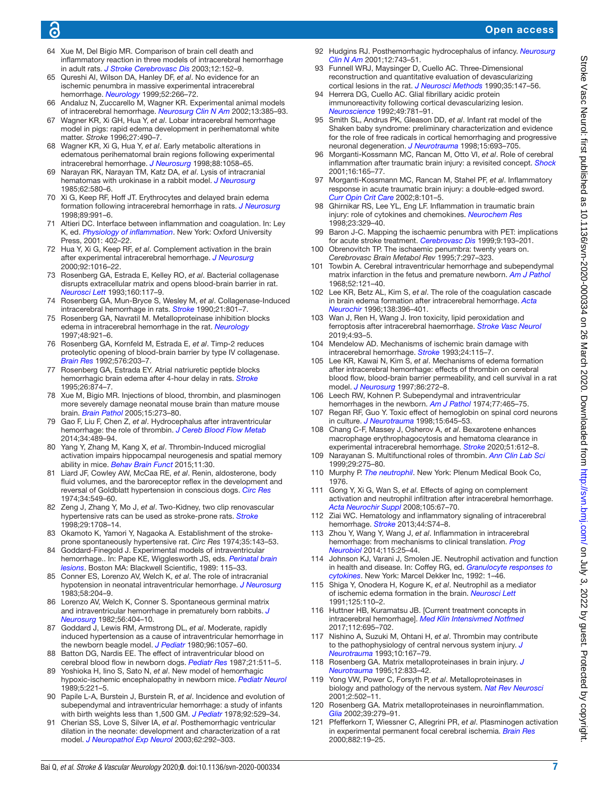# ൳

- <span id="page-6-8"></span>64 Xue M, Del Bigio MR. Comparison of brain cell death and inflammatory reaction in three models of intracerebral hemorrhage in adult rats. *[J Stroke Cerebrovasc Dis](http://dx.doi.org/10.1016/S1052-3057(03)00036-3)* 2003;12:152–9.
- <span id="page-6-0"></span>65 Qureshi AI, Wilson DA, Hanley DF, *et al*. No evidence for an ischemic penumbra in massive experimental intracerebral hemorrhage. *[Neurology](http://dx.doi.org/10.1212/WNL.52.2.266)* 1999;52:266–72.
- <span id="page-6-1"></span>66 Andaluz N, Zuccarello M, Wagner KR. Experimental animal models of intracerebral hemorrhage. *[Neurosurg Clin N Am](http://dx.doi.org/10.1016/S1042-3680(02)00006-2)* 2002;13:385–93.
- <span id="page-6-2"></span>67 Wagner KR, Xi GH, Hua Y, *et al*. Lobar intracerebral hemorrhage model in pigs: rapid edema development in perihematomal white matter. *Stroke* 1996;27:490–7.
- 68 Wagner KR, Xi G, Hua Y, *et al*. Early metabolic alterations in edematous perihematomal brain regions following experimental intracerebral hemorrhage. *[J Neurosurg](http://dx.doi.org/10.3171/jns.1998.88.6.1058)* 1998;88:1058–65.
- <span id="page-6-3"></span>69 Narayan RK, Narayan TM, Katz DA, *et al*. Lysis of intracranial hematomas with urokinase in a rabbit model. *[J Neurosurg](http://dx.doi.org/10.3171/jns.1985.62.4.0580)* 1985;62:580–6.
- <span id="page-6-30"></span>70 Xi G, Keep RF, Hoff JT. Erythrocytes and delayed brain edema formation following intracerebral hemorrhage in rats. *[J Neurosurg](http://dx.doi.org/10.3171/jns.1998.89.6.0991)* 1998;89:991–6.
- <span id="page-6-4"></span>71 Altieri DC. Interface between inflammation and coagulation. In: Ley K, ed. *Physiology of inflammation*. New York: Oxford University Press, 2001: 402–22.
- <span id="page-6-5"></span>72 Hua Y, Xi G, Keep RF, *et al*. Complement activation in the brain after experimental intracerebral hemorrhage. *[J Neurosurg](http://dx.doi.org/10.3171/jns.2000.92.6.1016)* 2000;92:1016–22.
- <span id="page-6-7"></span>73 Rosenberg GA, Estrada E, Kelley RO, *et al*. Bacterial collagenase disrupts extracellular matrix and opens blood-brain barrier in rat. *[Neurosci Lett](http://dx.doi.org/10.1016/0304-3940(93)90927-D)* 1993;160:117–9.
- 74 Rosenberg GA, Mun-Bryce S, Wesley M, *et al*. Collagenase-Induced intracerebral hemorrhage in rats. *[Stroke](http://dx.doi.org/10.1161/01.STR.21.5.801)* 1990;21:801–7.
- 75 Rosenberg GA, Navratil M. Metalloproteinase inhibition blocks edema in intracerebral hemorrhage in the rat. *[Neurology](http://dx.doi.org/10.1212/WNL.48.4.921)* 1997;48:921–6.
- 76 Rosenberg GA, Kornfeld M, Estrada E, *et al*. Timp-2 reduces proteolytic opening of blood-brain barrier by type IV collagenase. *[Brain Res](http://dx.doi.org/10.1016/0006-8993(92)90681-X)* 1992;576:203–7.
- Rosenberg GA, Estrada EY. Atrial natriuretic peptide blocks hemorrhagic brain edema after 4-hour delay in rats. *[Stroke](http://dx.doi.org/10.1161/01.STR.26.5.874)* 1995;26:874–7.
- <span id="page-6-11"></span>78 Xue M, Bigio MR. Injections of blood, thrombin, and plasminogen more severely damage neonatal mouse brain than mature mouse brain. *[Brain Pathol](http://dx.doi.org/10.1111/j.1750-3639.2005.tb00111.x)* 2005;15:273–80.
- <span id="page-6-9"></span>79 Gao F, Liu F, Chen Z, *et al*. Hydrocephalus after intraventricular hemorrhage: the role of thrombin. *[J Cereb Blood Flow Metab](http://dx.doi.org/10.1038/jcbfm.2013.225)* 2014;34:489–94.
- <span id="page-6-10"></span>80 Yang Y, Zhang M, Kang X, *et al*. Thrombin-Induced microglial activation impairs hippocampal neurogenesis and spatial memory ability in mice. *[Behav Brain Funct](http://dx.doi.org/10.1186/s12993-015-0075-7)* 2015;11:30.
- <span id="page-6-6"></span>Liard JF, Cowley AW, McCaa RE, et al. Renin, aldosterone, body fluid volumes, and the baroreceptor reflex in the development and reversal of Goldblatt hypertension in conscious dogs. *[Circ Res](http://dx.doi.org/10.1161/01.RES.34.4.549)* 1974;34:549–60.
- <span id="page-6-12"></span>82 Zeng J, Zhang Y, Mo J, *et al*. Two-Kidney, two clip renovascular hypertensive rats can be used as stroke-prone rats. *[Stroke](http://dx.doi.org/10.1161/01.STR.29.8.1708)* 1998;29:1708–14.
- <span id="page-6-13"></span>83 Okamoto K, Yamori Y, Nagaoka A. Establishment of the strokeprone spontaneously hypertensive rat. *Circ Res* 1974;35:143–53.
- <span id="page-6-14"></span>84 Goddard-Finegold J. Experimental models of intraventricular hemorrhage.. In: Pape KE, Wigglesworth JS, eds. *Perinatal brain lesions*. Boston MA: Blackwell Scientific, 1989: 115–33.
- <span id="page-6-15"></span>85 Conner ES, Lorenzo AV, Welch K, *et al*. The role of intracranial hypotension in neonatal intraventricular hemorrhage. *[J Neurosurg](http://dx.doi.org/10.3171/jns.1983.58.2.0204)* 1983;58:204–9.
- 86 Lorenzo AV, Welch K, Conner S. Spontaneous germinal matrix and intraventricular hemorrhage in prematurely born rabbits. *[J](http://dx.doi.org/10.3171/jns.1982.56.3.0404)  [Neurosurg](http://dx.doi.org/10.3171/jns.1982.56.3.0404)* 1982;56:404–10.
- <span id="page-6-16"></span>87 Goddard J, Lewis RM, Armstrong DL, *et al*. Moderate, rapidly induced hypertension as a cause of intraventricular hemorrhage in the newborn beagle model. *[J Pediatr](http://dx.doi.org/10.1016/S0022-3476(80)80641-X)* 1980;96:1057–60.
- <span id="page-6-17"></span>88 Batton DG, Nardis EE. The effect of intraventricular blood on cerebral blood flow in newborn dogs. *[Pediatr Res](http://dx.doi.org/10.1203/00006450-198705000-00018)* 1987;21:511–5. 89 Yoshioka H, Iino S, Sato N, *et al*. New model of hemorrhagic
- <span id="page-6-18"></span>hypoxic-ischemic encephalopathy in newborn mice. *[Pediatr Neurol](http://dx.doi.org/10.1016/0887-8994(89)90079-9)* 1989;5:221–5.
- <span id="page-6-19"></span>Papile L-A, Burstein J, Burstein R, et al. Incidence and evolution of subependymal and intraventricular hemorrhage: a study of infants with birth weights less than 1,500 GM. *[J Pediatr](http://dx.doi.org/10.1016/S0022-3476(78)80282-0)* 1978;92:529–34.
- <span id="page-6-20"></span>91 Cherian SS, Love S, Silver IA, *et al*. Posthemorrhagic ventricular dilation in the neonate: development and characterization of a rat model. *[J Neuropathol Exp Neurol](http://dx.doi.org/10.1093/jnen/62.3.292)* 2003;62:292–303.
- <span id="page-6-21"></span>92 Hudgins RJ. Posthemorrhagic hydrocephalus of infancy. *[Neurosurg](http://dx.doi.org/10.1016/S1042-3680(18)30031-7)  [Clin N Am](http://dx.doi.org/10.1016/S1042-3680(18)30031-7)* 2001;12:743–51.
- <span id="page-6-22"></span>93 Funnell WRJ, Maysinger D, Cuello AC. Three-Dimensional reconstruction and quantitative evaluation of devascularizing cortical lesions in the rat. *[J Neurosci Methods](http://dx.doi.org/10.1016/0165-0270(90)90104-N)* 1990;35:147–56.
- 94 Herrera DG, Cuello AC. Glial fibrillary acidic protein immunoreactivity following cortical devascularizing lesion. *[Neuroscience](http://dx.doi.org/10.1016/0306-4522(92)90356-7)* 1992;49:781–91.
- <span id="page-6-23"></span>95 Smith SL, Andrus PK, Gleason DD, *et al*. Infant rat model of the Shaken baby syndrome: preliminary characterization and evidence for the role of free radicals in cortical hemorrhaging and progressive neuronal degeneration. *[J Neurotrauma](http://dx.doi.org/10.1089/neu.1998.15.693)* 1998;15:693–705.
- <span id="page-6-24"></span>96 Morganti-Kossmann MC, Rancan M, Otto VI, *et al*. Role of cerebral inflammation after traumatic brain injury: a revisited concept. *[Shock](http://dx.doi.org/10.1097/00024382-200116030-00001)* 2001;16:165–77.
- 97 Morganti-Kossmann MC, Rancan M, Stahel PF, *et al*. Inflammatory response in acute traumatic brain injury: a double-edged sword. *[Curr Opin Crit Care](http://dx.doi.org/10.1097/00075198-200204000-00002)* 2002;8:101–5.
- 98 Ghirnikar RS, Lee YL, Eng LF. Inflammation in traumatic brain injury: role of cytokines and chemokines. *[Neurochem Res](http://dx.doi.org/10.1023/A:1022453332560)* 1998;23:329–40.
- <span id="page-6-25"></span>Baron J-C. Mapping the ischaemic penumbra with PET: implications for acute stroke treatment. *[Cerebrovasc Dis](http://dx.doi.org/10.1159/000015955)* 1999;9:193–201.
- 100 Obrenovitch TP. The ischaemic penumbra: twenty years on. *Cerebrovasc Brain Metabol Rev* 1995;7:297–323.
- <span id="page-6-26"></span>101 Towbin A. Cerebral intraventricular hemorrhage and subependymal matrix infarction in the fetus and premature newborn. *[Am J Pathol](http://www.ncbi.nlm.nih.gov/pubmed/5634505)* 1968;52:121–40.
- <span id="page-6-27"></span>102 Lee KR, Betz AL, Kim S, *et al*. The role of the coagulation cascade in brain edema formation after intracerebral hemorrhage. *[Acta](http://dx.doi.org/10.1007/BF01420301)  [Neurochir](http://dx.doi.org/10.1007/BF01420301)* 1996;138:396–401.
- <span id="page-6-28"></span>103 Wan J, Ren H, Wang J. Iron toxicity, lipid peroxidation and ferroptosis after intracerebral haemorrhage. *[Stroke Vasc Neurol](http://dx.doi.org/10.1136/svn-2018-000205)* 2019;4:93–5.
- 104 Mendelow AD. Mechanisms of ischemic brain damage with intracerebral hemorrhage. *[Stroke](http://www.ncbi.nlm.nih.gov/pubmed/8249006)* 1993;24:115–7.
- 105 Lee KR, Kawai N, Kim S, *et al*. Mechanisms of edema formation after intracerebral hemorrhage: effects of thrombin on cerebral blood flow, blood-brain barrier permeability, and cell survival in a rat model. *[J Neurosurg](http://dx.doi.org/10.3171/jns.1997.86.2.0272)* 1997;86:272–8.
- <span id="page-6-29"></span>106 Leech RW, Kohnen P. Subependymal and intraventricular hemorrhages in the newborn. *[Am J Pathol](http://www.ncbi.nlm.nih.gov/pubmed/4473900)* 1974;77:465–75.
- 107 Regan RF, Guo Y. Toxic effect of hemoglobin on spinal cord neurons in culture. *[J Neurotrauma](http://dx.doi.org/10.1089/neu.1998.15.645)* 1998;15:645–53.
- <span id="page-6-33"></span>108 Chang C-F, Massey J, Osherov A, *et al*. Bexarotene enhances macrophage erythrophagocytosis and hematoma clearance in experimental intracerebral hemorrhage. *[Stroke](http://dx.doi.org/10.1161/STROKEAHA.119.027037)* 2020;51:612–8.
- <span id="page-6-31"></span>109 Narayanan S. Multifunctional roles of thrombin. *[Ann Clin Lab Sci](http://www.ncbi.nlm.nih.gov/pubmed/10528826)* 1999;29:275–80.
- <span id="page-6-32"></span>110 Murphy P. *The neutrophil*. New York: Plenum Medical Book Co, 1976.
- 111 Gong Y, Xi G, Wan S, *et al*. Effects of aging on complement activation and neutrophil infiltration after intracerebral hemorrhage. *[Acta Neurochir Suppl](http://dx.doi.org/10.1007/978-3-211-09469-3_14)* 2008;105:67–70.
- Ziai WC. Hematology and inflammatory signaling of intracerebral hemorrhage. *[Stroke](http://dx.doi.org/10.1161/STROKEAHA.111.000662)* 2013;44:S74–8.
- 113 Zhou Y, Wang Y, Wang J, *et al*. Inflammation in intracerebral hemorrhage: from mechanisms to clinical translation. *[Prog](http://dx.doi.org/10.1016/j.pneurobio.2013.11.003)  [Neurobiol](http://dx.doi.org/10.1016/j.pneurobio.2013.11.003)* 2014;115:25–44.
- <span id="page-6-34"></span>114 Johnson KJ, Varani J, Smolen JE. Neutrophil activation and function in health and disease. In: Coffey RG, ed. *Granulocyte responses to cytokines*. New York: Marcel Dekker Inc, 1992: 1–46.
- 115 Shiga Y, Onodera H, Kogure K, *et al*. Neutrophil as a mediator of ischemic edema formation in the brain. *[Neurosci Lett](http://dx.doi.org/10.1016/0304-3940(91)90003-C)* 1991;125:110–2.
- 116 Huttner HB, Kuramatsu JB. [Current treatment concepts in intracerebral hemorrhage]. *[Med Klin Intensivmed Notfmed](http://dx.doi.org/10.1007/s00063-017-0361-2)* 2017;112:695–702.
- <span id="page-6-35"></span>117 Nishino A, Suzuki M, Ohtani H, *et al*. Thrombin may contribute to the pathophysiology of central nervous system injury. *[J](http://dx.doi.org/10.1089/neu.1993.10.167)  [Neurotrauma](http://dx.doi.org/10.1089/neu.1993.10.167)* 1993;10:167–79.
- <span id="page-6-36"></span>118 Rosenberg GA. Matrix metalloproteinases in brain injury. *[J](http://dx.doi.org/10.1089/neu.1995.12.833)  [Neurotrauma](http://dx.doi.org/10.1089/neu.1995.12.833)* 1995;12:833–42.
- <span id="page-6-37"></span>119 Yong VW, Power C, Forsyth P, *et al*. Metalloproteinases in biology and pathology of the nervous system. *[Nat Rev Neurosci](http://dx.doi.org/10.1038/35081571)* 2001;2:502–11.
- Rosenberg GA. Matrix metalloproteinases in neuroinflammation. *[Glia](http://dx.doi.org/10.1002/glia.10108)* 2002;39:279–91.
- <span id="page-6-38"></span>121 Pfefferkorn T, Wiessner C, Allegrini PR, *et al*. Plasminogen activation in experimental permanent focal cerebral ischemia. *[Brain Res](http://dx.doi.org/10.1016/S0006-8993(00)02769-4)* 2000;882:19–25.